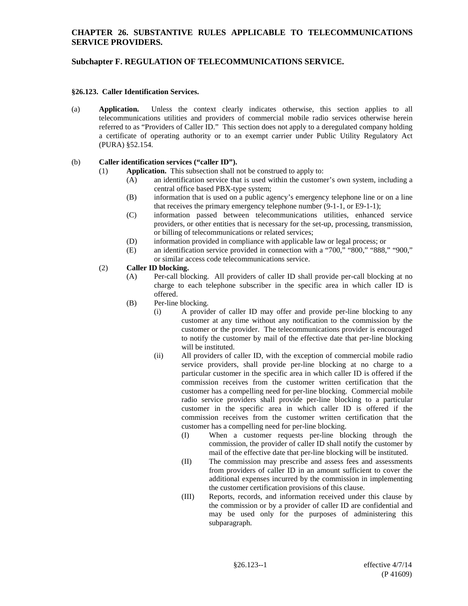### **CHAPTER 26. SUBSTANTIVE RULES APPLICABLE TO TELECOMMUNICATIONS SERVICE PROVIDERS.**

# **Subchapter F. REGULATION OF TELECOMMUNICATIONS SERVICE.**

#### **§26.123. Caller Identification Services.**

(a) **Application.** Unless the context clearly indicates otherwise, this section applies to all telecommunications utilities and providers of commercial mobile radio services otherwise herein referred to as "Providers of Caller ID." This section does not apply to a deregulated company holding a certificate of operating authority or to an exempt carrier under Public Utility Regulatory Act (PURA) §52.154.

### (b) **Caller identification services ("caller ID").**

- (1) **Application.** This subsection shall not be construed to apply to:
	- (A) an identification service that is used within the customer's own system, including a central office based PBX-type system;
	- (B) information that is used on a public agency's emergency telephone line or on a line that receives the primary emergency telephone number (9-1-1, or E9-1-1);
	- (C) information passed between telecommunications utilities, enhanced service providers, or other entities that is necessary for the set-up, processing, transmission, or billing of telecommunications or related services;
	- (D) information provided in compliance with applicable law or legal process; or
	- (E) an identification service provided in connection with a "700," "800," "888," "900," or similar access code telecommunications service.

### (2) **Caller ID blocking.**

- (A) Per-call blocking. All providers of caller ID shall provide per-call blocking at no charge to each telephone subscriber in the specific area in which caller ID is offered.
- (B) Per-line blocking.
	- (i) A provider of caller ID may offer and provide per-line blocking to any customer at any time without any notification to the commission by the customer or the provider. The telecommunications provider is encouraged to notify the customer by mail of the effective date that per-line blocking will be instituted.
	- (ii) All providers of caller ID, with the exception of commercial mobile radio service providers, shall provide per-line blocking at no charge to a particular customer in the specific area in which caller ID is offered if the commission receives from the customer written certification that the customer has a compelling need for per-line blocking. Commercial mobile radio service providers shall provide per-line blocking to a particular customer in the specific area in which caller ID is offered if the commission receives from the customer written certification that the customer has a compelling need for per-line blocking.
		- (I) When a customer requests per-line blocking through the commission, the provider of caller ID shall notify the customer by mail of the effective date that per-line blocking will be instituted.
		- (II) The commission may prescribe and assess fees and assessments from providers of caller ID in an amount sufficient to cover the additional expenses incurred by the commission in implementing the customer certification provisions of this clause.
		- (III) Reports, records, and information received under this clause by the commission or by a provider of caller ID are confidential and may be used only for the purposes of administering this subparagraph.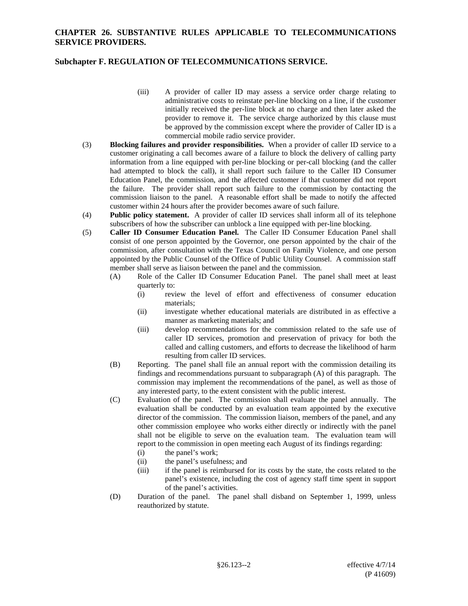### **CHAPTER 26. SUBSTANTIVE RULES APPLICABLE TO TELECOMMUNICATIONS SERVICE PROVIDERS.**

### **Subchapter F. REGULATION OF TELECOMMUNICATIONS SERVICE.**

- (iii) A provider of caller ID may assess a service order charge relating to administrative costs to reinstate per-line blocking on a line, if the customer initially received the per-line block at no charge and then later asked the provider to remove it. The service charge authorized by this clause must be approved by the commission except where the provider of Caller ID is a commercial mobile radio service provider.
- (3) **Blocking failures and provider responsibilities.** When a provider of caller ID service to a customer originating a call becomes aware of a failure to block the delivery of calling party information from a line equipped with per-line blocking or per-call blocking (and the caller had attempted to block the call), it shall report such failure to the Caller ID Consumer Education Panel, the commission, and the affected customer if that customer did not report the failure. The provider shall report such failure to the commission by contacting the commission liaison to the panel. A reasonable effort shall be made to notify the affected customer within 24 hours after the provider becomes aware of such failure.
- (4) **Public policy statement.** A provider of caller ID services shall inform all of its telephone subscribers of how the subscriber can unblock a line equipped with per-line blocking.
- (5) **Caller ID Consumer Education Panel.** The Caller ID Consumer Education Panel shall consist of one person appointed by the Governor, one person appointed by the chair of the commission, after consultation with the Texas Council on Family Violence, and one person appointed by the Public Counsel of the Office of Public Utility Counsel. A commission staff member shall serve as liaison between the panel and the commission.
	- (A) Role of the Caller ID Consumer Education Panel. The panel shall meet at least quarterly to:
		- (i) review the level of effort and effectiveness of consumer education materials;
		- (ii) investigate whether educational materials are distributed in as effective a manner as marketing materials; and
		- (iii) develop recommendations for the commission related to the safe use of caller ID services, promotion and preservation of privacy for both the called and calling customers, and efforts to decrease the likelihood of harm resulting from caller ID services.
	- (B) Reporting. The panel shall file an annual report with the commission detailing its findings and recommendations pursuant to subparagraph (A) of this paragraph. The commission may implement the recommendations of the panel, as well as those of any interested party, to the extent consistent with the public interest.
	- (C) Evaluation of the panel. The commission shall evaluate the panel annually. The evaluation shall be conducted by an evaluation team appointed by the executive director of the commission. The commission liaison, members of the panel, and any other commission employee who works either directly or indirectly with the panel shall not be eligible to serve on the evaluation team. The evaluation team will report to the commission in open meeting each August of its findings regarding:
		- (i) the panel's work;
		- (ii) the panel's usefulness; and
		- (iii) if the panel is reimbursed for its costs by the state, the costs related to the panel's existence, including the cost of agency staff time spent in support of the panel's activities.
	- (D) Duration of the panel. The panel shall disband on September 1, 1999, unless reauthorized by statute.